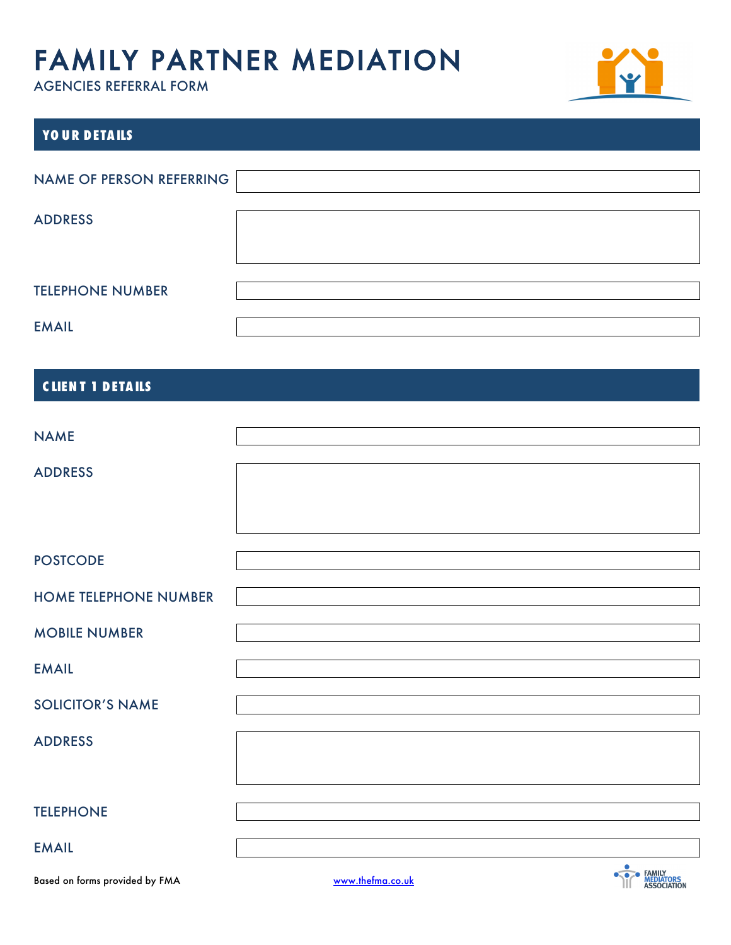

| YOUR DETAILS             |  |
|--------------------------|--|
| NAME OF PERSON REFERRING |  |
| <b>ADDRESS</b>           |  |
|                          |  |
| <b>TELEPHONE NUMBER</b>  |  |
| <b>EMAIL</b>             |  |

### **C LIEN T 1 DETA ILS**

| <b>NAME</b>                  |  |
|------------------------------|--|
| <b>ADDRESS</b>               |  |
| <b>POSTCODE</b>              |  |
| <b>HOME TELEPHONE NUMBER</b> |  |
| <b>MOBILE NUMBER</b>         |  |
| <b>EMAIL</b>                 |  |
| <b>SOLICITOR'S NAME</b>      |  |
| <b>ADDRESS</b>               |  |
| <b>TELEPHONE</b>             |  |
| <b>EMAIL</b>                 |  |

Based on forms provided by FMA www.thefma.co.uk

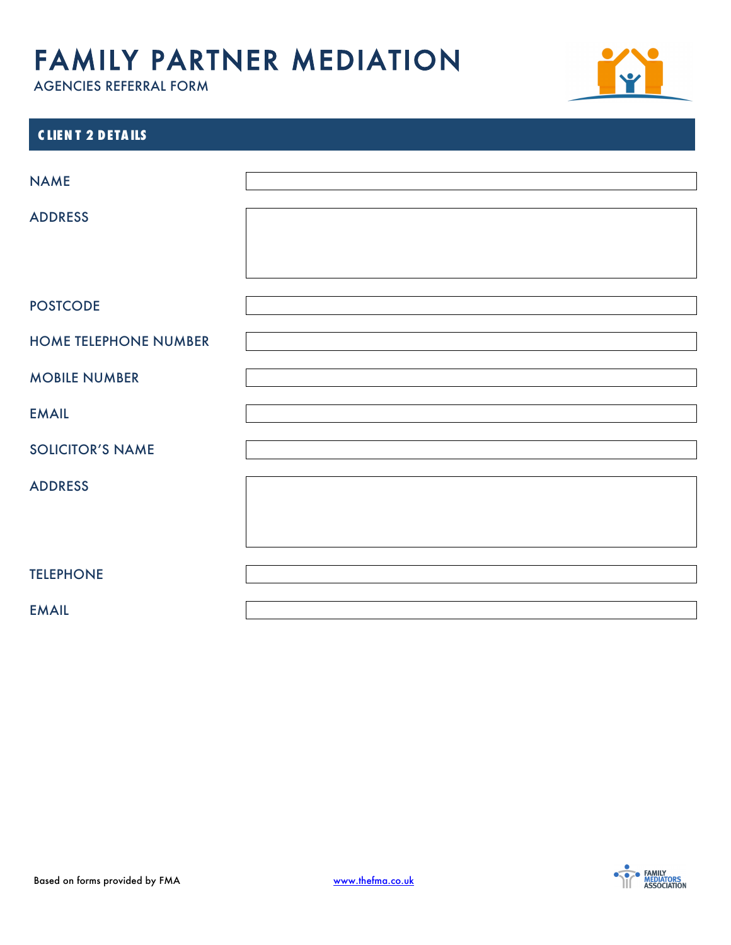

| <b>CLIENT 2 DETAILS</b>      |  |
|------------------------------|--|
|                              |  |
| <b>NAME</b>                  |  |
| <b>ADDRESS</b>               |  |
|                              |  |
|                              |  |
|                              |  |
| <b>POSTCODE</b>              |  |
| <b>HOME TELEPHONE NUMBER</b> |  |
|                              |  |
| <b>MOBILE NUMBER</b>         |  |
| <b>EMAIL</b>                 |  |
| <b>SOLICITOR'S NAME</b>      |  |
|                              |  |
| <b>ADDRESS</b>               |  |
|                              |  |
|                              |  |
|                              |  |
| <b>TELEPHONE</b>             |  |
| <b>EMAIL</b>                 |  |

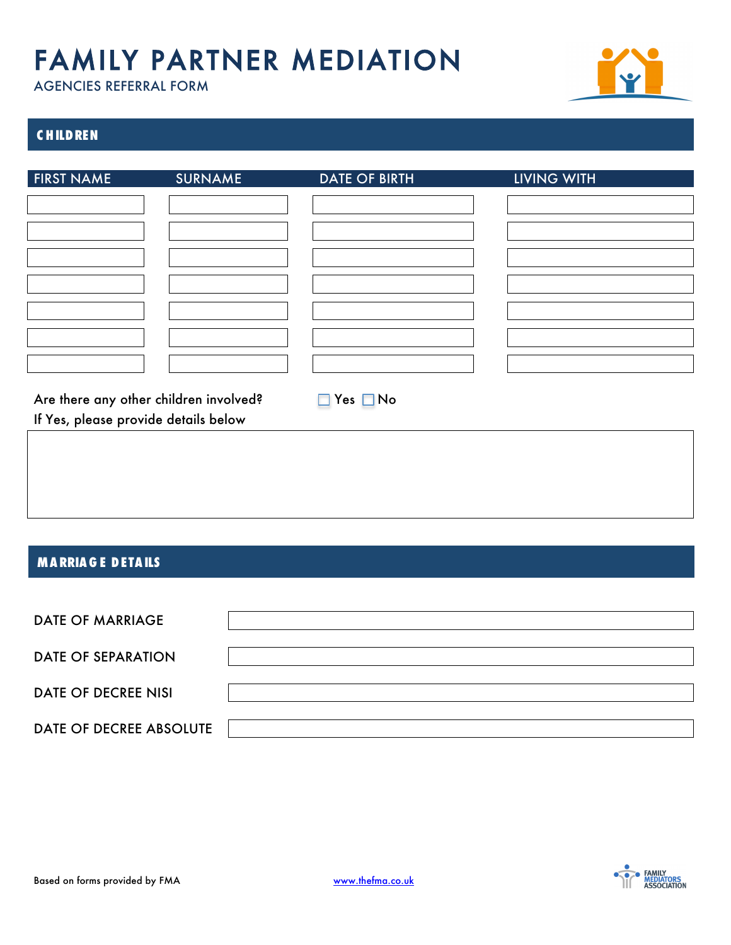

### **C HILDREN**

| <b>FIRST NAME</b>                      | <b>SURNAME</b> | <b>DATE OF BIRTH</b> | <b>LIVING WITH</b> |
|----------------------------------------|----------------|----------------------|--------------------|
|                                        |                |                      |                    |
|                                        |                |                      |                    |
|                                        |                |                      |                    |
|                                        |                |                      |                    |
|                                        |                |                      |                    |
|                                        |                |                      |                    |
|                                        |                |                      |                    |
|                                        |                |                      |                    |
|                                        |                |                      |                    |
|                                        |                |                      |                    |
|                                        |                |                      |                    |
|                                        |                |                      |                    |
| Are there any other children involved? |                | $\Box$ Yes $\Box$ No |                    |
| If Yes, please provide details below   |                |                      |                    |
|                                        |                |                      |                    |
|                                        |                |                      |                    |

#### **MA RRIA G E DETA ILS**

| <b>DATE OF MARRIAGE</b>    |  |
|----------------------------|--|
| <b>DATE OF SEPARATION</b>  |  |
| <b>DATE OF DECREE NISI</b> |  |
| DATE OF DECREE ABSOLUTE    |  |